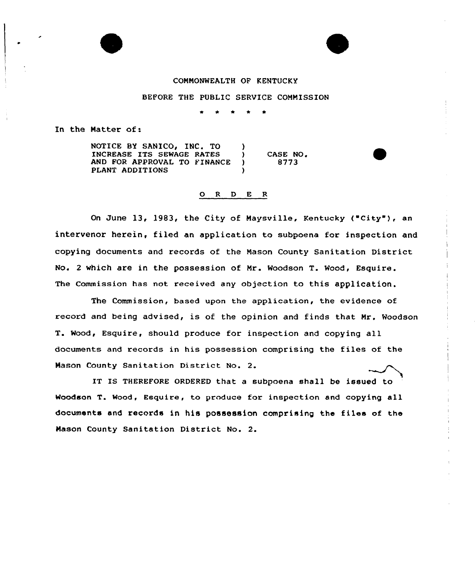#### COMMONWEALTH OF KENTUCKY

### BEFORE THE PUBLIC SERVICE COMMISSION

In the Matter of:

NOTICE BY SANICO, INC. TO (1) INCREASE ITS SEWAGE RATES (3)<br>AND FOR APPROVAL TO FINANCE (3) AND FOR APPROVAL TO FINANCE PLANT ADDITIONS CASE NO <sup>~</sup> 8773

#### 0 <sup>R</sup> <sup>D</sup> <sup>E</sup> <sup>R</sup>

On June 13, 1983, the City of Maysville, Kentucky ("City"), an intervenor herein, filed an application to subpoena for inspection and copying documents and records of the Mason County Sanitation District No. <sup>2</sup> which are in the possession of Mr. Woodson T. Wood, Esquire. The Commission has not received any objection to this application.

The Commission, based upon the application, the evidence of record and being advised, is of the opinion and finds that Mr. Woodson T. Wood, Esquire, should produce for inspection and copying all documents and records in his possession comprising the files of the Mason County Sanitation District No. 2.

IT IS THEREFORE ORDERED that a subpoena shall be issued to Woodson T. Wood, Esquire, to produce for inspection and copying all documents and records in his possession comprising the files of the Mason County Sanitation District No. 2.